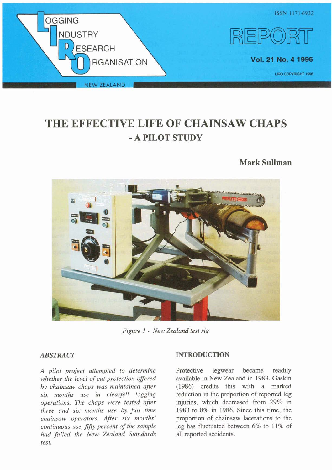

# **THE EFFECTIVE LIFE OF CHAINSAW CHAPS**  - **A PILOT STUDY**

# **Mark Sullman**



*Figure 1* - *New Zealand test rig* 

# *ABSTRACT*

*A pilot project attempted to determine whether the level of cut protection oflered by chainsaw chaps was maintained afer six months use in clearfell logging operations. The chaps were tested afer three and six months use by full time chainsaw operators. Afer six months' continuous use,* fiftu *percent of the sample had failed the New Zealand Standards test.* 

# **INTRODUCTION**

Protective legwear became readily available in New Zealand in 1983. Gaskin (1986) credits this with a marked reduction in the proportion of reported leg injuries, which decreased from 29% in 1983 to 8% in 1986. Since this time, the proportion of chainsaw lacerations to the leg has fluctuated between 6% to 11% of all reported accidents.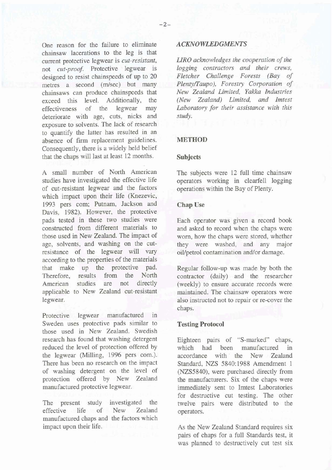One reason for the failure to eliminate chainsaw lacerations to the leg is that current protective legwear is *cut-resistant,*  not *cut-proof.* Protective legwear is designed to resist chainspeeds of up to 20 metres a second (m/sec) but many chainsaws can produce chainspeeds that<br>exceed this level. Additionally, the exceed this level. Additionally, the effectiveness of the legwear may effectiveness of the deteriorate with age, cuts, nicks and exposure to solvents. The lack of research to quantify the latter has resulted in an absence of firm replacement guidelines. Consequently, there is a widely held belief that the chaps will last at least 12 months.

A small number of North American studies have investigated the effective life of cut-resistant legwear and the factors which impact upon their life (Knezevic, 1993 pers com; Putnam, Jackson and Davis, 1982). However, the protective pads tested in these two studies were constructed from different materials to those used in New Zealand. The impact of age, solvents, and washing on the cutresistance of the legwear will vary according to the properties of the materials that make up the protective pad.<br>Therefore results from the North Therefore, results from the<br>American studies are not American studies are not directly applicable to New Zealand cut-resistant legwear.

Protective legwear manufactured in Sweden uses protective pads similar to those used in New Zealand. Swedish research has found that washing detergent reduced the level of protection offered by the legwear (Milling, 1996 pers com.). There has been no research on the impact of washing detergent on the level of protection offered by New Zealand manufactured protective legwear.

The present study investigated the effective life of New Zealand manufactured chaps and the factors which impact upon their life.

#### *ACKNOWLEDGMENTS*

*LJRO acknowledges the cooperation of the logging contractors and their crews, Fletcher Challenge Forests (Bay of Plenty/Taupo), Forestry Corporation of New Zealand Limited, Yakka Industries (New Zealand) Limited, and Imtest Laboratory for their assistance with this study.* 

#### **METHOD**

#### **Subjects**

The subjects were 12 full time chainsaw operators working in clearfell logging operations within the Bay of Plenty.

#### **Chap Use**

Each operator was given a record book and asked to record when the chaps were worn, how the chaps were stored, whether they were washed, and any major oil/petrol contamination and/or damage.

Regular follow-up was made by both the contractor (daily) and the researcher (weekly) to ensure accurate records were maintained. The chainsaw operators were also instructed not to repair or re-cover the chaps.

#### **Testing Protocol**

Eighteen pairs of "S-marked" chaps, which had been manufactured in accordance with the New Zealand Standard, NZS 5840:1988 Amendment 1 (NZS5840), were purchased directly from the manufacturers. Six of the chaps were immediately sent to Imtest Laboratories for destructive cut testing. The other twelve pairs were distributed to the operators.

As the New Zealand Standard requires six pairs of chaps for a full Standards test, it was planned to destructively cut test six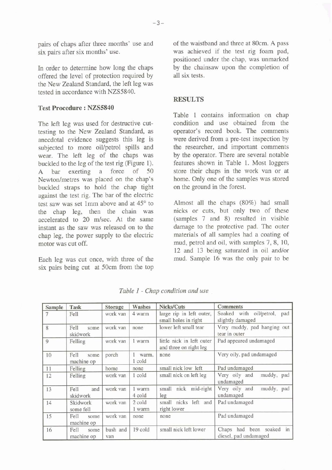pairs of chaps after three months' use and six pairs after six months' use.

In order to determine how long the chaps offered the level of protection required by the New Zealand Standard, the left leg was tested in accordance with NZS5840.

### **Test Procedure** : **NZS5840**

The left leg was used for destructive cuttesting to the New Zealand Standard, as anecdotal evidence suggests this leg is subjected to more oil/petrol spills and wear. The left leg of the chaps was buckled to the leg of the test rig (Figure 1).<br>A bar exerting a force of 50 A bar exerting a force Newton/metres was placed on the chap's buckled straps to hold the chap tight against the test rig. The bar of the electric test saw was set 1mm above and at 45° to the chap leg, then the chain was accelerated to 20 m/sec. At the same instant as the saw was released on to the chap leg, the power supply to the electric motor was cut off.

Each leg was cut once, with three of the six pairs being cut at 50cm from the top of the waistband and three at 80cm. A pass was achieved if the test rig foam pad, positioned under the chap, was unmarked by the chainsaw upon the completion of all six tests.

# **RESULTS**

Table 1 contains information on chap condition and use obtained from the operator's record book. The comments were derived from a pre-test inspection by the researcher, and important comments by the operator. There are several notable features shown in Table 1. Most loggers store their chaps in the work van or at home. Only one of the samples was stored on the ground in the forest.

Almost all the chaps (80%) had small nicks or cuts, but only two of these (samples 7 and 8) resulted in visible damage to the protective pad. The outer materials of all samples had a coating of mud, petrol and oil, with samples 7, 8, 10, 12 and 13 being saturated in oil and/or mud. Sample 16 was the only pair to be

| Sample | Task                       | <b>Storage</b>  | Washes           | Nicks/Cuts                                          | <b>Comments</b>                                    |
|--------|----------------------------|-----------------|------------------|-----------------------------------------------------|----------------------------------------------------|
|        | Fell                       | work van        | 4 warm           | large rip in left outer,<br>small holes in right    | Soaked with oil/petrol,<br>pad<br>slightly damaged |
| 8      | Fell<br>some<br>skidwork   | work van        | none             | lower left small tear                               | Very muddy, pad hanging out<br>tear in outer       |
| 9      | Felling                    | work van        | 1 warm           | little nick in left outer<br>and three on right leg | Pad appeared undamaged                             |
| 10     | Fell<br>some<br>machine op | porch           | warm,<br>1 cold  | none                                                | Very oily, pad undamaged                           |
| 11     | Felling                    | home            | none             | small nick low left                                 | Pad undamaged                                      |
| 12     | Felling                    | work van        | 1 cold           | small nick on left leg                              | Very oily and<br>muddy, pad<br>undamaged           |
| 13     | Fell<br>and<br>skidwork    | work van        | 1 warm<br>4 cold | small nick mid-right<br>leg                         | Very oily and<br>muddy, pad<br>undamaged           |
| 14     | Skidwork<br>some fell      | work van        | 2 cold<br>1 warm | small nicks left and<br>right lower                 | Pad undamaged                                      |
| 15     | Fell<br>some<br>machine op | work van        | none             | none                                                | Pad undamaged                                      |
| 16     | Fell<br>some<br>machine op | bush and<br>van | 19 cold          | small nick left lower                               | Chaps had been soaked in<br>diesel, pad undamaged  |

*Table 1* - *Chap condition and use*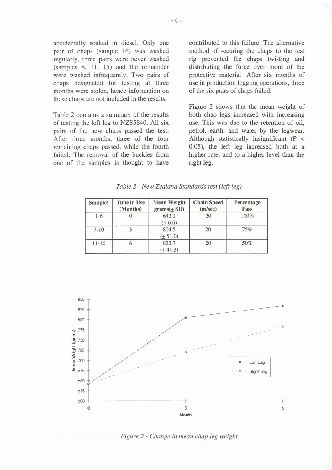accidentally soaked in diesel. Only one pair of chaps (sample 16) was washed regularly, three pairs were never washed  $(samples 8, 11, 15)$  and the remainder were washed infrequently. Two pairs of chaps designated for testing at three months were stolen, hence information on these chaps are not included in the results.

Table 2 contains a summary of the results of testing the left leg to NZS5840. All six pairs of the new chaps passed the test. After three months, three of the four remaining chaps passed, while the fourth failed. The removal of the buckles from one of the samples is thought to have contributed to this failure. The alternative method of securing the chaps to the test rig prevented the chaps twisting and distributing the force over more of the protective material. After six months of use in production logging operations, three of the six pairs of chaps failed.

Figure 2 shows that the mean weight of both chap legs increased with increasing use. This was due to the retention of oil, petrol, earth, and water by the legwear. Although statistically insignificant (P < 0.05), the left leg increased both at a higher rate, and to a higher level than the right leg.

| Table 2 - New Zealand Standards test (left leg) |  |  |  |
|-------------------------------------------------|--|--|--|
|-------------------------------------------------|--|--|--|

| <b>Samples</b> | Time in Use<br>(Months) | <b>Mean Weight</b><br>$grams(\pm SD)$ | <b>Chain Speed</b><br>(m/sec) | Percentage<br>Pass |  |
|----------------|-------------------------|---------------------------------------|-------------------------------|--------------------|--|
| $1-6$          |                         | 642.2<br>$(+ 6.6)$                    | 20                            | 100%               |  |
| $7 - 10$       |                         | 804.5<br>$(+51.0)$                    | 20                            | 75%                |  |
| $11 - 16$      |                         | 833.7<br>$+44.3)$                     | 20                            | 50%                |  |



*Figure 2* - *Change in mean chap leg weight*